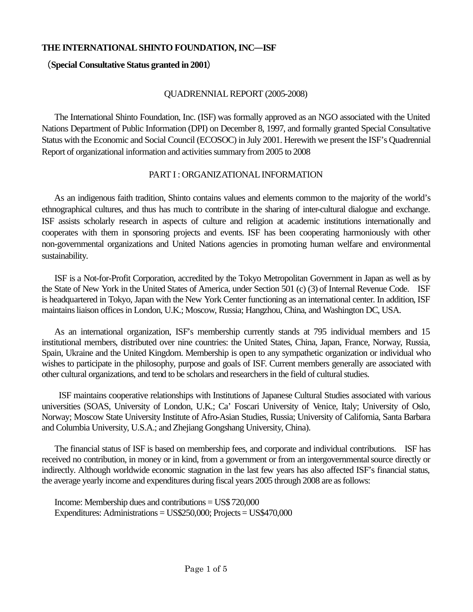# THE INTERNATIONAL SHINTO FOUNDATION, INC-ISF

# **Special Consultative Status granted in 2001**-

## QUADRENNIAL REPORT (2005-2008)

 The International Shinto Foundation, Inc. (ISF) was formally approved as an NGO associated with the United Nations Department of Public Information (DPI) on December 8, 1997, and formally granted Special Consultative Status with the Economic and Social Council (ECOSOC) in July 2001. Herewith we present the ISF's Quadrennial Report of organizational information and activities summary from 2005 to 2008

### PART I : ORGANIZATIONAL INFORMATION

 As an indigenous faith tradition, Shinto contains values and elements common to the majority of the world's ethnographical cultures, and thus has much to contribute in the sharing of inter-cultural dialogue and exchange. ISF assists scholarly research in aspects of culture and religion at academic institutions internationally and cooperates with them in sponsoring projects and events. ISF has been cooperating harmoniously with other non-governmental organizations and United Nations agencies in promoting human welfare and environmental sustainability.

 ISF is a Not-for-Profit Corporation, accredited by the Tokyo Metropolitan Government in Japan as well as by the State of New York in the United States of America, under Section 501 (c) (3) of Internal Revenue Code. ISF is headquartered in Tokyo, Japan with the New York Center functioning as an international center. In addition, ISF maintains liaison offices in London, U.K.; Moscow, Russia; Hangzhou, China, and Washington DC, USA.

As an international organization, ISF's membership currently stands at 795 individual members and 15 institutional members, distributed over nine countries: the United States, China, Japan, France, Norway, Russia, Spain, Ukraine and the United Kingdom. Membership is open to any sympathetic organization or individual who wishes to participate in the philosophy, purpose and goals of ISF. Current members generally are associated with other cultural organizations, and tend to be scholars and researchers in the field of cultural studies.

 ISF maintains cooperative relationships with Institutions of Japanese Cultural Studies associated with various universities (SOAS, University of London, U.K.; Ca' Foscari University of Venice, Italy; University of Oslo, Norway; Moscow State University Institute of Afro-Asian Studies, Russia; University of California, Santa Barbara and Columbia University, U.S.A.; and Zhejiang Gongshang University, China).

The financial status of ISF is based on membership fees, and corporate and individual contributions. ISF has received no contribution, in money or in kind, from a government or from an intergovernmental source directly or indirectly. Although worldwide economic stagnation in the last few years has also affected ISF's financial status, the average yearly income and expenditures during fiscal years 2005 through 2008 are as follows:

Income: Membership dues and contributions = US\$ 720,000 Expenditures: Administrations = US\$250,000; Projects = US\$470,000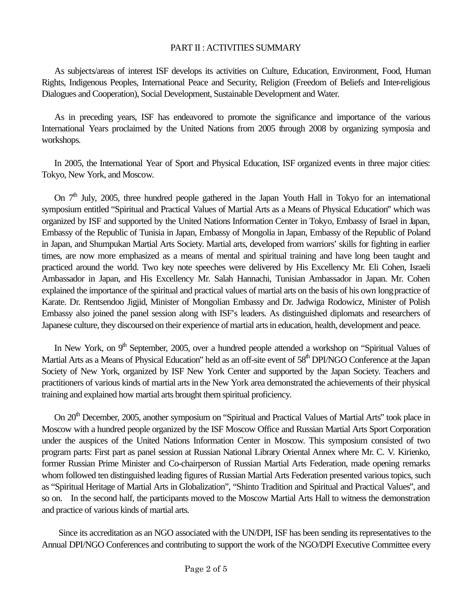### PART II : ACTIVITIES SUMMARY

As subjects/areas of interest ISF develops its activities on Culture, Education, Environment, Food, Human Rights, Indigenous Peoples, International Peace and Security, Religion (Freedom of Beliefs and Inter-religious Dialogues and Cooperation), Social Development, Sustainable Development and Water.

As in preceding years, ISF has endeavored to promote the significance and importance of the various International Years proclaimed by the United Nations from 2005 through 2008 by organizing symposia and workshops.

In 2005, the International Year of Sport and Physical Education, ISF organized events in three major cities: Tokyo, New York, and Moscow.

On  $7<sup>th</sup>$  July, 2005, three hundred people gathered in the Japan Youth Hall in Tokyo for an international symposium entitled "Spiritual and Practical Values of Martial Arts as a Means of Physical Education" which was organized by ISF and supported by the United Nations Information Center in Tokyo, Embassy of Israel in Japan, Embassy of the Republic of Tunisia in Japan, Embassy of Mongolia in Japan, Embassy of the Republic of Poland in Japan, and Shumpukan Martial Arts Society. Martial arts, developed from warriors' skills for fighting in earlier times, are now more emphasized as a means of mental and spiritual training and have long been taught and practiced around the world. Two key note speeches were delivered by His Excellency Mr. Eli Cohen, Israeli Ambassador in Japan, and His Excellency Mr. Salah Hannachi, Tunisian Ambassador in Japan. Mr. Cohen explained the importance of the spiritual and practical values of martial arts on the basis of his own long practice of Karate. Dr. Rentsendoo Jigjid, Minister of Mongolian Embassy and Dr. Jadwiga Rodowicz, Minister of Polish Embassy also joined the panel session along with ISF's leaders. As distinguished diplomats and researchers of Japanese culture, they discoursed on their experience of martial arts in education, health, development and peace.

In New York, on  $9<sup>th</sup>$  September, 2005, over a hundred people attended a workshop on "Spiritual Values of Martial Arts as a Means of Physical Education" held as an off-site event of 58<sup>th</sup> DPI/NGO Conference at the Japan Society of New York, organized by ISF New York Center and supported by the Japan Society. Teachers and practitioners of various kinds of martial arts in the New York area demonstrated the achievements of their physical training and explained how martial arts brought them spiritual proficiency.

On 20<sup>th</sup> December, 2005, another symposium on "Spiritual and Practical Values of Martial Arts" took place in Moscow with a hundred people organized by the ISF Moscow Office and Russian Martial Arts Sport Corporation under the auspices of the United Nations Information Center in Moscow. This symposium consisted of two program parts: First part as panel session at Russian National Library Oriental Annex where Mr. C. V. Kirienko, former Russian Prime Minister and Co-chairperson of Russian Martial Arts Federation, made opening remarks whom followed ten distinguished leading figures of Russian Martial Arts Federation presented various topics, such as "Spiritual Heritage of Martial Arts in Globalization", "Shinto Tradition and Spiritual and Practical Values", and so on. In the second half, the participants moved to the Moscow Martial Arts Hall to witness the demonstration and practice of various kinds of martial arts.

 Since its accreditation as an NGO associated with the UN/DPI, ISF has been sending its representatives to the Annual DPI/NGO Conferences and contributing to support the work of the NGO/DPI Executive Committee every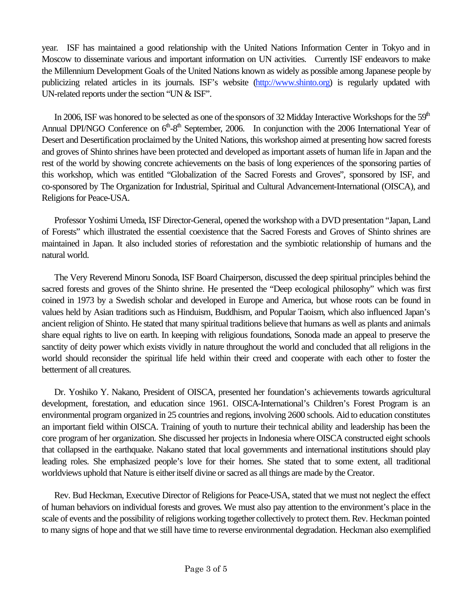year. ISF has maintained a good relationship with the United Nations Information Center in Tokyo and in Moscow to disseminate various and important information on UN activities. Currently ISF endeavors to make the Millennium Development Goals of the United Nations known as widely as possible among Japanese people by publicizing related articles in its journals. ISF's website (http://www.shinto.org) is regularly updated with UN-related reports under the section "UN & ISF".

In 2006, ISF was honored to be selected as one of the sponsors of 32 Midday Interactive Workshops for the  $59<sup>th</sup>$ Annual DPI/NGO Conference on  $6<sup>th</sup>-8<sup>th</sup>$  September, 2006. In conjunction with the 2006 International Year of Desert and Desertification proclaimed by the United Nations, this workshop aimed at presenting how sacred forests and groves of Shinto shrines have been protected and developed as important assets of human life in Japan and the rest of the world by showing concrete achievements on the basis of long experiences of the sponsoring parties of this workshop, which was entitled "Globalization of the Sacred Forests and Groves", sponsored by ISF, and co-sponsored by The Organization for Industrial, Spiritual and Cultural Advancement-International (OISCA), and Religions for Peace-USA.

Professor Yoshimi Umeda, ISF Director-General, opened the workshop with a DVD presentation "Japan, Land of Forests" which illustrated the essential coexistence that the Sacred Forests and Groves of Shinto shrines are maintained in Japan. It also included stories of reforestation and the symbiotic relationship of humans and the natural world.

The Very Reverend Minoru Sonoda, ISF Board Chairperson, discussed the deep spiritual principles behind the sacred forests and groves of the Shinto shrine. He presented the "Deep ecological philosophy" which was first coined in 1973 by a Swedish scholar and developed in Europe and America, but whose roots can be found in values held by Asian traditions such as Hinduism, Buddhism, and Popular Taoism, which also influenced Japan's ancient religion of Shinto. He stated that many spiritual traditions believe that humans as well as plants and animals share equal rights to live on earth. In keeping with religious foundations, Sonoda made an appeal to preserve the sanctity of deity power which exists vividly in nature throughout the world and concluded that all religions in the world should reconsider the spiritual life held within their creed and cooperate with each other to foster the betterment of all creatures.

Dr. Yoshiko Y. Nakano, President of OISCA, presented her foundation's achievements towards agricultural development, forestation, and education since 1961. OISCA-International's Children's Forest Program is an environmental program organized in 25 countries and regions, involving 2600 schools. Aid to education constitutes an important field within OISCA. Training of youth to nurture their technical ability and leadership has been the core program of her organization. She discussed her projects in Indonesia where OISCA constructed eight schools that collapsed in the earthquake. Nakano stated that local governments and international institutions should play leading roles. She emphasized people's love for their homes. She stated that to some extent, all traditional worldviews uphold that Nature is either itself divine or sacred as all things are made by the Creator.

Rev. Bud Heckman, Executive Director of Religions for Peace-USA, stated that we must not neglect the effect of human behaviors on individual forests and groves. We must also pay attention to the environment's place in the scale of events and the possibility of religions working together collectively to protect them. Rev. Heckman pointed to many signs of hope and that we still have time to reverse environmental degradation. Heckman also exemplified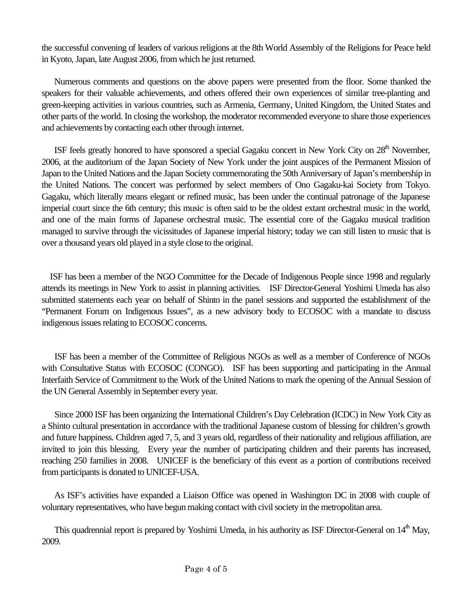the successful convening of leaders of various religions at the 8th World Assembly of the Religions for Peace held in Kyoto, Japan, late August 2006, from which he just returned.

Numerous comments and questions on the above papers were presented from the floor. Some thanked the speakers for their valuable achievements, and others offered their own experiences of similar tree-planting and green-keeping activities in various countries, such as Armenia, Germany, United Kingdom, the United States and other parts of the world. In closing the workshop, the moderator recommended everyone to share those experiences and achievements by contacting each other through internet.

ISF feels greatly honored to have sponsored a special Gagaku concert in New York City on 28<sup>th</sup> November, 2006, at the auditorium of the Japan Society of New York under the joint auspices of the Permanent Mission of Japan to the United Nations and the Japan Society commemorating the 50th Anniversary of Japan's membership in the United Nations. The concert was performed by select members of Ono Gagaku-kai Society from Tokyo. Gagaku, which literally means elegant or refined music, has been under the continual patronage of the Japanese imperial court since the 6th century; this music is often said to be the oldest extant orchestral music in the world, and one of the main forms of Japanese orchestral music. The essential core of the Gagaku musical tradition managed to survive through the vicissitudes of Japanese imperial history; today we can still listen to music that is over a thousand years old played in a style close to the original.

ISF has been a member of the NGO Committee for the Decade of Indigenous People since 1998 and regularly attends its meetings in New York to assist in planning activities. ISF Director-General Yoshimi Umeda has also submitted statements each year on behalf of Shinto in the panel sessions and supported the establishment of the "Permanent Forum on Indigenous Issues", as a new advisory body to ECOSOC with a mandate to discuss indigenous issues relating to ECOSOC concerns.

 ISF has been a member of the Committee of Religious NGOs as well as a member of Conference of NGOs with Consultative Status with ECOSOC (CONGO). ISF has been supporting and participating in the Annual Interfaith Service of Commitment to the Work of the United Nations to mark the opening of the Annual Session of the UN General Assembly in September every year.

 Since 2000 ISF has been organizing the International Children's Day Celebration (ICDC) in New York City as a Shinto cultural presentation in accordance with the traditional Japanese custom of blessing for children's growth and future happiness. Children aged 7, 5, and 3 years old, regardless of their nationality and religious affiliation, are invited to join this blessing. Every year the number of participating children and their parents has increased, reaching 250 families in 2008. UNICEF is the beneficiary of this event as a portion of contributions received from participants is donated to UNICEF-USA.

 As ISF's activities have expanded a Liaison Office was opened in Washington DC in 2008 with couple of voluntary representatives, who have begun making contact with civil society in the metropolitan area.

This quadrennial report is prepared by Yoshimi Umeda, in his authority as ISF Director-General on 14<sup>th</sup> May, 2009.